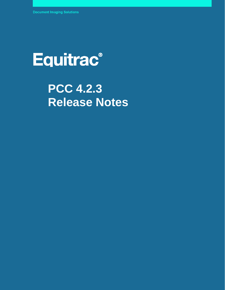# Equitrac®

## **PCC 4.2.3 Release Notes**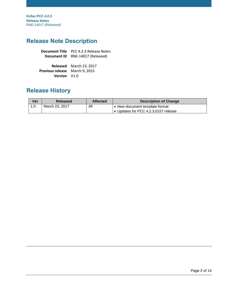**Kofax PCC 4.2.3 Release Notes** RNE-14017 (Released)

## **Release Note Description**

|             | <b>Document Title</b> PCC 4.2.3 Release Notes |  |
|-------------|-----------------------------------------------|--|
| Document ID | RNE-14017 (Released)                          |  |

|                                       | Released March 23, 2017 |
|---------------------------------------|-------------------------|
| <b>Previous release</b> March 9, 2015 |                         |
| <b>Version</b> V1.0                   |                         |

## **Release History**

| Ver | Released       | <b>Affected</b> | <b>Description of Change</b>                                         |
|-----|----------------|-----------------|----------------------------------------------------------------------|
|     | March 23, 2017 | All             | • New document template format<br>Updates for PCC 4.2.3.0157 release |

© 2019 Kofax. All rights reserved.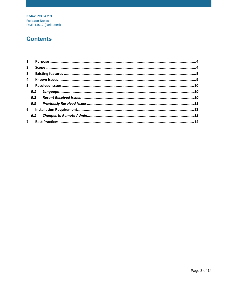**Kofax PCC 4.2.3 Release Notes** RNE-14017 (Released)

## **Contents**

| 1              |     |  |
|----------------|-----|--|
| $2^{\circ}$    |     |  |
|                |     |  |
| $\overline{4}$ |     |  |
| $5 -$          |     |  |
|                | 5.1 |  |
|                | 5.2 |  |
|                | 5.3 |  |
| 6              |     |  |
|                | 6.1 |  |
| 7 <sup>7</sup> |     |  |
|                |     |  |

© 2019 Kofax All rights reserved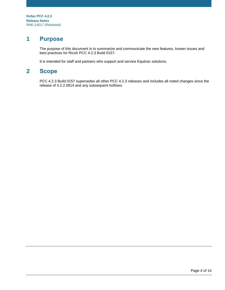## <span id="page-3-0"></span>**1 Purpose**

The purpose of this document is to summarize and communicate the new features, known issues and best practices for Ricoh PCC 4.2.3 Build 0157.

It is intended for staff and partners who support and service Equitrac solutions.

## <span id="page-3-1"></span>**2 Scope**

PCC 4.2.3 Build 0157 supersedes all other PCC 4.2.3 releases and includes all noted changes since the release of 4.2.2.0814 and any subsequent hotfixes.

© 2019 Kofax. All rights reserved.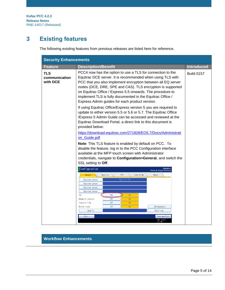## <span id="page-4-0"></span>**3 Existing features**

The following existing features from previous releases are listed here for reference.

| <b>Security Enhancements</b>            |                                                                                                                                                                                                                                                                                                                                                                                                                                      |                   |
|-----------------------------------------|--------------------------------------------------------------------------------------------------------------------------------------------------------------------------------------------------------------------------------------------------------------------------------------------------------------------------------------------------------------------------------------------------------------------------------------|-------------------|
| <b>Feature</b>                          | <b>Description/Benefit</b>                                                                                                                                                                                                                                                                                                                                                                                                           | <b>Introduced</b> |
| <b>TLS</b><br>communication<br>with DCE | PCC4 now has the option to use a TLS for connection to the<br>Equitrac DCE server. It is recommended when using TLS with<br>PCC that you also implement encryption between all EQ server<br>nodes (DCE, DRE, SPE and CAS). TLS encryption is supported<br>on Equitrac Office / Express 5.5 onwards. The procedure to<br>implement TLS is fully documented in the Equitrac Office /<br>Express Admin guides for each product version. | <b>Build 0157</b> |
|                                         | If using Equitrac Office/Express version 5 you are required to<br>update to either version 5.5 or 5.6 or 5.7. The Equitrac Office<br>/Express 5 Admin Guide can be accessed and reviewed at the<br>Equitrac Download Portal, a direct link to this document is<br>provided below:                                                                                                                                                    |                   |
|                                         | https://download.equitrac.com/271828/EO5.7/Docs/Administrati                                                                                                                                                                                                                                                                                                                                                                         |                   |
|                                         | on_Guide.pdf                                                                                                                                                                                                                                                                                                                                                                                                                         |                   |
|                                         | Note: This TLS feature is enabled by default on PCC. To<br>disable the feature, log in to the PCC Configuration interface<br>available at the MFP touch screen with Administrator<br>credentials, navigate to Configuration>General, and switch the<br>SSL setting to Off.                                                                                                                                                           |                   |
|                                         | Configuration<br><b>Cequitrac</b><br><b>Print &amp; Copy Control</b>                                                                                                                                                                                                                                                                                                                                                                 |                   |
|                                         | PCC.<br>Security<br>Scan-to-Me<br>General<br>About<br>10.17.11.137<br>Equitrac Server<br>Equitrac Server<br>Equitrac Server<br>Equitrac Server<br>SSL.<br>0ff<br>0n<br>0ff<br>0 <sub>n</sub><br>Debug to console<br>0ff<br>Trace to file<br>0 <sub>n</sub><br>0ff<br>Button Icons<br>0 <sub>n</sub><br>USB Keyboard<br>Email Log<br>Send To<br>Exit<br>Save and Exit                                                                 |                   |
|                                         | MAR 20,2017                                                                                                                                                                                                                                                                                                                                                                                                                          |                   |

#### **Workflow Enhancements**

© 2019 Kofax. All rights reserved.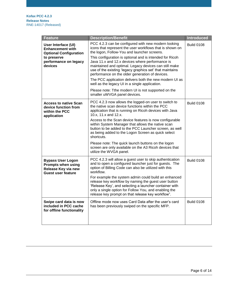| <b>Feature</b>                                                                                                                     | <b>Description/Benefit</b>                                                                                                                                                                                                                                                                                                                                                                                                                                                                                                                                                                                                                               | <b>Introduced</b> |
|------------------------------------------------------------------------------------------------------------------------------------|----------------------------------------------------------------------------------------------------------------------------------------------------------------------------------------------------------------------------------------------------------------------------------------------------------------------------------------------------------------------------------------------------------------------------------------------------------------------------------------------------------------------------------------------------------------------------------------------------------------------------------------------------------|-------------------|
| User Interface (UI)<br><b>Enhancement with</b><br><b>Optional Configuration</b><br>to preserve<br>performance on legacy<br>devices | PCC 4.2.3 can be configured with new modern looking<br>icons that represent the user workflows that is shown on<br>the logon, Follow-You and launcher screens.<br>This configuration is optional and is intended for Ricoh<br>Java 11.x and 12.x devices where performance is<br>maintained and optimal. Legacy devices can still make<br>use of the existing 'legacy graphics set' that maintains<br>performance on the older generation of devices.<br>The PCC application delivers both the new modern UI as<br>well as the legacy UI in a single application.<br>Please note: Tthe modern UI is not supported on the<br>smaller uWVGA panel devices. | <b>Build 0108</b> |
| <b>Access to native Scan</b><br>device function from<br>within the PCC<br>application                                              | PCC 4.2.3 now allows the logged-on user to switch to<br>the native scan device functions within the PCC<br>application that is running on Ricoh devices with Java<br>10.x, 11.x and 12.x.<br>Access to the Scan device features is now configurable<br>within System Manager that allows the native scan<br>button to be added to the PCC Launcher screen, as well<br>as being added to the Logon Screen as quick select<br>shortcuts.<br>Please note: The quick launch buttons on the logon<br>screen are only available on the A3 Ricoh devices that<br>utilize the WVGA panel.                                                                        | <b>Build 0108</b> |
| <b>Bypass User Logon</b><br><b>Prompts when using</b><br>Release Key via new<br>Guest user feature                                 | PCC 4.2.3 will allow a guest user to skip authentication<br>and to open a configured launcher just for guests. The<br>option of Billing Code can also be utilized with this<br>workflow.<br>For example the system admin could build an enhanced<br>release key workflow by naming the guest user button<br>'Release Key', and selecting a launcher container with<br>only a single option for Follow You, and enabling the<br>release key prompt on that release key workflow".                                                                                                                                                                         | <b>Build 0108</b> |
| Swipe card data is now<br>included in PCC cache<br>for offline functionality                                                       | Offline mode now uses Card Data after the user's card<br>has been previously swiped on the specific MFP.                                                                                                                                                                                                                                                                                                                                                                                                                                                                                                                                                 | <b>Build 0108</b> |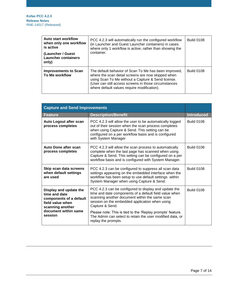| <b>Auto start workflow</b><br>when only one workflow<br>is active | PCC 4.2.3 will automatically run the configured workflow<br>(in Launcher and Guest Launcher containers) in cases<br>where only 1 workflow is active, rather than showing the<br>container.                                                                                | <b>Build 0108</b> |
|-------------------------------------------------------------------|---------------------------------------------------------------------------------------------------------------------------------------------------------------------------------------------------------------------------------------------------------------------------|-------------------|
| (Launcher / Guest<br><b>Launcher containers</b><br>only)          |                                                                                                                                                                                                                                                                           |                   |
| <b>Improvements to Scan</b><br><b>To Me workflow</b>              | The default behavior of Scan To Me has been improved,<br>where the scan detail screens are now skipped when<br>using Scan To Me without a Capture & Send license.<br>(User can still access screens in those circumstances<br>where default values require modification). | <b>Build 0108</b> |

| <b>Capture and Send Improvements</b>                                                                       |                                                                                                                                                                                                                                                   |                   |
|------------------------------------------------------------------------------------------------------------|---------------------------------------------------------------------------------------------------------------------------------------------------------------------------------------------------------------------------------------------------|-------------------|
| <b>Feature</b>                                                                                             | <b>Description/Benefit</b>                                                                                                                                                                                                                        | <b>Introduced</b> |
| Auto Logout after scan<br>process completes                                                                | PCC 4.2.3 will allow the user to be automatically logged<br>out of their session when the scan process completes<br>when using Capture & Send. This setting can be<br>configured on a per workflow basis and is configured<br>with System Manager | <b>Build 0108</b> |
| Auto Done after scan<br>process completes                                                                  | PCC 4.2.3 will allow the scan process to automatically<br>complete when the last page has scanned when using<br>Capture & Send. This setting can be configured on a per<br>workflow basis and is configured with System Manager.                  | <b>Build 0108</b> |
| Skip scan data screens<br>when default settings<br>are used                                                | PCC 4.2.3 can be configured to suppress all scan data<br>settings appearing on the embedded interface when the<br>workflow has been setup to use default settings within<br>System Manager when using Capture & Send.                             | <b>Build 0108</b> |
| Display and update the<br>time and date<br>components of a default<br>field value when<br>scanning another | PCC 4.2.3 can be configured to display and update the<br>time and date components of a default field value when<br>scanning another document within the same scan<br>session on the embedded application when using<br>Capture & Send.            | <b>Build 0108</b> |
| document within same<br>session                                                                            | Please note: This is tied to the 'Replay prompts' feature.<br>The Admin can select to retain the user modified data, or<br>replay the prompts.                                                                                                    |                   |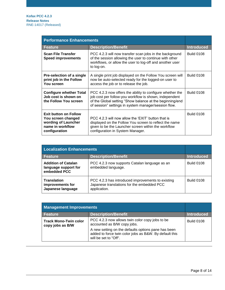| <b>Performance Enhancements</b>                                                                                |                                                                                                                                                                                                                                         |                   |
|----------------------------------------------------------------------------------------------------------------|-----------------------------------------------------------------------------------------------------------------------------------------------------------------------------------------------------------------------------------------|-------------------|
| <b>Feature</b>                                                                                                 | <b>Description/Benefit</b>                                                                                                                                                                                                              | <b>Introduced</b> |
| <b>Scan File Transfer</b><br><b>Speed improvements</b>                                                         | PCC 4.2.3 will now transfer scan jobs in the background<br>of the session allowing the user to continue with other<br>workflows, or allow the user to log-off and another user<br>to log-on.                                            | <b>Build 0108</b> |
| Pre-selection of a single<br>print job in the Follow<br>You screen                                             | A single print job displayed on the Follow You screen will<br>now be auto-selected ready for the logged-on user to<br>access the job or to release the job.                                                                             | <b>Build 0108</b> |
| <b>Configure whether Total</b><br>Job cost is shown on<br>the Follow You screen                                | PCC 4.2.3 now offers the ability to configure whether the<br>job cost per follow-you workflow is shown, independent<br>of the Global setting "Show balance at the beginning/end<br>of session" settings in system manager/session flow. | <b>Build 0108</b> |
| <b>Exit button on Follow</b><br>You screen changed<br>wording of Launcher<br>name in workflow<br>configuration | PCC 4.2.3 will now allow the 'EXIT' button that is<br>displayed on the Follow You screen to reflect the name<br>given to be the Launcher screen within the workflow<br>configuration in System Manager.                                 | <b>Build 0108</b> |

| <b>Localization Enhancements</b>                                   |                                                                                                                 |                   |
|--------------------------------------------------------------------|-----------------------------------------------------------------------------------------------------------------|-------------------|
| <b>Feature</b>                                                     | <b>Description/Benefit</b>                                                                                      | <b>Introduced</b> |
| <b>Addition of Catalan</b><br>language support for<br>embedded PCC | PCC 4.2.3 now supports Catalan language as an<br>embedded language.                                             | <b>Build 0108</b> |
| <b>Translation</b><br>improvements for<br>Japanese language        | PCC 4.2.3 has introduced improvements to existing<br>Japanese translations for the embedded PCC<br>application. | <b>Build 0108</b> |

| <b>Management Improvements</b>                   |                                                                                                                                                                                                 |                   |
|--------------------------------------------------|-------------------------------------------------------------------------------------------------------------------------------------------------------------------------------------------------|-------------------|
| <b>Feature</b>                                   | <b>Description/Benefit</b>                                                                                                                                                                      | <b>Introduced</b> |
| <b>Track Mono-Twin color</b><br>copy jobs as B/W | PCC 4.2.3 now allows twin color copy jobs to be<br>accounted as B/W copy jobs.<br>A new setting on the defaults options pane has been<br>added to force twin color jobs as B&W. By default this | <b>Build 0108</b> |
|                                                  | will be set to "Off".                                                                                                                                                                           |                   |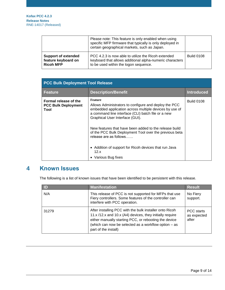|                                                                       | Please note: This feature is only enabled when using<br>specific MFP firmware that typically is only deployed in<br>certain geographical markets, such as Japan. |                   |
|-----------------------------------------------------------------------|------------------------------------------------------------------------------------------------------------------------------------------------------------------|-------------------|
| <b>Support of extended</b><br>feature keyboard on<br><b>Ricoh MFP</b> | PCC 4.2.3 is now able to utilize the Ricoh extended<br>keyboard that allows additional alpha-numeric characters<br>to be used within the logon sequence.         | <b>Build 0108</b> |

| <b>PCC Bulk Deployment Tool Release</b>                     |                                                                                                                                                                                                                                                                                                                                                                                                                                                                  |                   |
|-------------------------------------------------------------|------------------------------------------------------------------------------------------------------------------------------------------------------------------------------------------------------------------------------------------------------------------------------------------------------------------------------------------------------------------------------------------------------------------------------------------------------------------|-------------------|
| <b>Feature</b>                                              | <b>Description/Benefit</b>                                                                                                                                                                                                                                                                                                                                                                                                                                       | <b>Introduced</b> |
| Formal release of the<br><b>PCC Bulk Deployment</b><br>Tool | <b>Feature</b><br>Allows Administrators to configure and deploy the PCC<br>embedded application across multiple devices by use of<br>a command line interface (CLI) batch file or a new<br>Graphical User Interface (GUI).<br>New features that have been added to the release build<br>of the PCC Bulk Deployment Tool over the previous beta<br>release are as follows<br>• Addition of support for Ricoh devices that run Java<br>12.x<br>• Various Bug fixes | <b>Build 0108</b> |

## <span id="page-8-0"></span>**4 Known Issues**

The following is a list of known issues that have been identified to be persistent with this release.

| <b>ID</b> | <b>Manifestation</b>                                                                                                                                                                                                                                         | <b>Result</b>                      |
|-----------|--------------------------------------------------------------------------------------------------------------------------------------------------------------------------------------------------------------------------------------------------------------|------------------------------------|
| N/A       | This release of PCC is not supported for MFPs that use<br>Fiery controllers. Some features of the controller can<br>interfere with PCC operation.                                                                                                            | No Fiery<br>support.               |
| 31279     | After installing PCC with the bulk installer onto Ricoh<br>11.x /12.x and 10.x (A4) devices, they initially require<br>either manually starting PCC, or rebooting the device<br>(which can now be selected as a workflow option - as<br>part of the install) | PCC starts<br>as expected<br>after |

#### © 2019 Kofax. All rights reserved.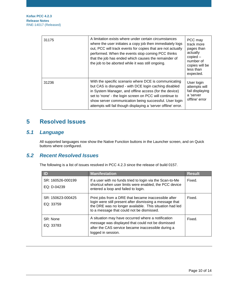**Kofax PCC 4.2.3 Release Notes** RNE-14017 (Released)

| 31175 | A limitation exists where under certain circumstances<br>where the user initiates a copy job then immediately logs<br>out, PCC will track events for copies that are not actually<br>performed. When the events stop coming PCC thinks<br>that the job has ended which causes the remainder of<br>the job to be aborted while it was still ongoing.               | PCC may<br>track more<br>pages than<br>actually<br>$copied -$<br>number of<br>copies will be<br>less than<br>expected. |
|-------|-------------------------------------------------------------------------------------------------------------------------------------------------------------------------------------------------------------------------------------------------------------------------------------------------------------------------------------------------------------------|------------------------------------------------------------------------------------------------------------------------|
| 31236 | With the specific scenario where DCE is communicating<br>but CAS is disrupted - with DCE login caching disabled<br>in System Manager, and offline access (for the device)<br>set to 'none' - the login screen on PCC will continue to<br>show server communication being successful. User login<br>attempts will fail though displaying a 'server offline' error. | User login<br>attempts will<br>fail displaying<br>a 'server<br>offline' error                                          |

## <span id="page-9-0"></span>**5 Resolved Issues**

## <span id="page-9-1"></span>*5.1 Language*

All supported languages now show the Native Function buttons in the Launcher screen, and on Quick buttons where configured.

### <span id="page-9-2"></span>*5.2 Recent Resolved Issues*

The following is a list of issues resolved in PCC 4.2.3 since the release of build 0157.

| ID                               | <b>Manifestation</b>                                                                                                                                                                                                     | <b>Result</b> |
|----------------------------------|--------------------------------------------------------------------------------------------------------------------------------------------------------------------------------------------------------------------------|---------------|
| SR: 160526-000199<br>EQ: D-04239 | If a user with no funds tried to login via the Scan-to-Me<br>shortcut when user limits were enabled, the PCC device<br>entered a loop and failed to login.                                                               | Fixed.        |
| SR: 150623-000425<br>EQ: 33759   | Print jobs from a DRE that became inaccessible after<br>login were still present after dismissing a message that<br>the DRE was no longer available. This situation had led<br>to a message that could not be dismissed. | Fixed.        |
| SR: None<br>EQ: 33783            | A situation may have occurred where a notification<br>message was displayed that could not be dismissed<br>after the CAS service became inaccessible during a<br>logged in session.                                      | Fixed.        |

© 2019 Kofax. All rights reserved.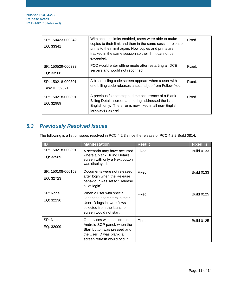| SR: 150423-000242<br>EQ: 33341      | With account limits enabled, users were able to make<br>copies to their limit and then in the same session release<br>prints to their limit again. Now copies and prints are<br>tracked in the same session so their limit cannot be<br>exceeded. | Fixed. |
|-------------------------------------|---------------------------------------------------------------------------------------------------------------------------------------------------------------------------------------------------------------------------------------------------|--------|
| SR: 150529-000333<br>EQ: 33506      | PCC would enter offline mode after restarting all DCE<br>servers and would not reconnect.                                                                                                                                                         | Fixed. |
| SR: 150218-000301<br>Task ID: 59021 | A blank billing code screen appears when a user with<br>one billing code releases a second job from Follow-You.                                                                                                                                   | Fixed. |
| SR: 150218-000301<br>EQ: 32989      | A previous fix that stopped the occurrence of a Blank<br>Billing Details screen appearing addressed the issue in<br>English only. The error is now fixed in all non-English<br>languages as well.                                                 | Fixed. |

## <span id="page-10-0"></span>*5.3 Previously Resolved Issues*

The following is a list of issues resolved in PCC 4.2.3 since the release of PCC 4.2.2 Build 0814.

| ID                             | <b>Manifestation</b>                                          | <b>Result</b> | <b>Fixed In</b>   |
|--------------------------------|---------------------------------------------------------------|---------------|-------------------|
| SR: 150218-000301<br>EQ: 32989 | A scenario may have occurred<br>where a blank Billing Details | Fixed.        | <b>Build 0133</b> |
|                                | screen with only a Next button<br>was displayed.              |               |                   |
| SR: 150108-000153              | Documents were not released                                   | Fixed.        | <b>Build 0133</b> |
| EQ: 32723                      | after login when the Release<br>behaviour was set to "Release |               |                   |
|                                | all at login".                                                |               |                   |
| SR: None                       | When a user with special                                      | Fixed.        | <b>Build 0125</b> |
| EQ: 32236                      | Japanese characters in their<br>User ID logs in, workflows    |               |                   |
|                                | selected from the launcher                                    |               |                   |
|                                | screen would not start.                                       |               |                   |
| SR: None                       | On devices with the optional                                  | Fixed.        | <b>Build 0125</b> |
| EQ: 32009                      | Android SOP panel, when the<br>Start button was pressed and   |               |                   |
|                                | the User ID was blank, a                                      |               |                   |
|                                | screen refresh would occur                                    |               |                   |

© 2019 Kofax. All rights reserved.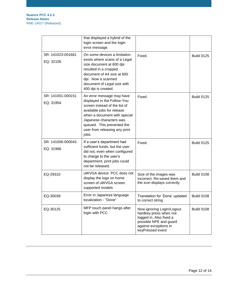|                                | that displayed a hybrid of the<br>login screen and the login<br>error message.                                                                                                                                                                             |                                                                                                                                                       |                   |
|--------------------------------|------------------------------------------------------------------------------------------------------------------------------------------------------------------------------------------------------------------------------------------------------------|-------------------------------------------------------------------------------------------------------------------------------------------------------|-------------------|
| SR: 141023-001681<br>EQ: 32105 | On some devices a limitation<br>exists where scans of a Legal<br>size document at 600 dpi<br>resulted in a cropped<br>document of A4 size at 600<br>dpi. Now a scanned<br>document of Legal size with<br>400 dpi is created.                               | Fixed.                                                                                                                                                | <b>Build 0125</b> |
| SR: 141001-000151<br>EQ: 31954 | An error message may have<br>displayed in the Follow-You<br>screen instead of the list of<br>available jobs for release<br>when a document with special<br>Japanese characters was<br>queued. This prevented the<br>user from releasing any print<br>jobs. | Fixed.                                                                                                                                                | <b>Build 0125</b> |
| SR: 141006-000043<br>EQ: 31966 | If a user's department had<br>sufficient funds, but the user<br>did not, even when configured<br>to charge to the user's<br>department, print jobs could<br>not be released.                                                                               | Fixed.                                                                                                                                                | <b>Build 0125</b> |
| EQ-29310                       | uWVGA device: PCC does not<br>display the logo on home<br>screen of uWVGA screen<br>supported models                                                                                                                                                       | Size of the images was<br>incorrect. Re-saved them and<br>the icon displays correctly                                                                 | <b>Build 0108</b> |
| EQ-30039                       | Error in Japanese language<br>localization - "Done"                                                                                                                                                                                                        | Translation for 'Done' updated<br>to correct string                                                                                                   | <b>Build 0108</b> |
| EQ-30125                       | MFP touch panel hangs after<br>login with PCC                                                                                                                                                                                                              | Now ignoring Login/Logout<br>hardkey press when not<br>logged in. Also fixed a<br>possible NPE and guard<br>against exceptions in<br>keyPressed event | <b>Build 0108</b> |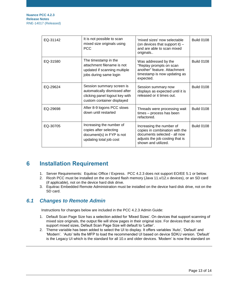| EQ-31142 | It is not possible to scan<br>mixed size originals using<br><b>PCC</b>                                                     | 'mixed sizes' now selectable<br>(on devices that support it) -<br>and are able to scan mixed<br>originals                                            | <b>Build 0108</b> |
|----------|----------------------------------------------------------------------------------------------------------------------------|------------------------------------------------------------------------------------------------------------------------------------------------------|-------------------|
| EQ-31580 | The timestamp in the<br>attachment filename is not<br>updated if scanning multiple<br>jobs during same login               | Was addressed by the<br>"Replay prompts on scan<br>another" feature. Attachment<br>timestamp is now updating as<br>expected.                         | <b>Build 0108</b> |
| EQ-29624 | Session summary screen is<br>automatically dismissed after<br>clicking panel logout key with<br>custom container displayed | Session summary now<br>displays as expected until it is<br>released or it times out.                                                                 | <b>Build 0108</b> |
| EQ-29698 | After 8-9 logons PCC slows<br>down until restarted                                                                         | Threads were processing wait<br>times - process has been<br>refactored.                                                                              | <b>Build 0108</b> |
| EQ-30705 | Increasing the number of<br>copies after selecting<br>document(s) in FYP is not<br>updating total job cost                 | Increasing the number of<br>copies in combination with the<br>documents selected - all now<br>adjusts the job costing that is<br>shown and utilized. | <b>Build 0108</b> |

## <span id="page-12-0"></span>**6 Installation Requirement**

- 1. Server Requirements: Equitrac Office / Express. PCC 4.2.3 does not support EO/EE 5.1 or below.
- 2. Ricoh PCC must be installed on the on-board flash memory (Java 11.x/12.x devices), or an SD card (if applicable), not on the device hard disk drive.
- 3. Equitrac Embedded Remote Administration must be installed on the device hard disk drive, not on the SD card.

#### <span id="page-12-1"></span>*6.1 Changes to Remote Admin*

Instructions for changes below are included in the PCC 4.2.3 Admin Guide:

- 1. Default Scan Page Size has a selection added for 'Mixed Sizes'. On devices that support scanning of mixed size originals, the output file will show pages in their original size. For devices that do not support mixed sizes, Default Scan Page Size will default to 'Letter'.
- 2. Theme variable has been added to select the UI to display. It offers variables 'Auto', 'Default' and 'Modern'. 'Auto' tells the MFP to load the recommended UI based on device SDK/J version. 'Default' is the Legacy UI which is the standard for all 10.x and older devices. 'Modern' is now the standard on

#### © 2019 Kofax. All rights reserved.